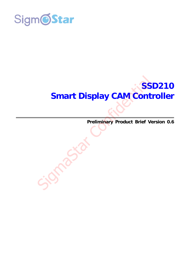

# **SSD210 Smart Display CAM Controller**  Smart Display CAM Cont

**Preliminary Product Brief Version 0.6**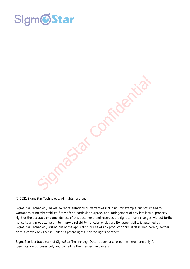



© 2021 SigmaStar Technology. All rights reserved.

SigmaStar Technology makes no representations or warranties including, for example but not limited to, warranties of merchantability, fitness for a particular purpose, non-infringement of any intellectual property right or the accuracy or completeness of this document, and reserves the right to make changes without further notice to any products herein to improve reliability, function or design. No responsibility is assumed by SigmaStar Technology arising out of the application or use of any product or circuit described herein; neither does it convey any license under its patent rights, nor the rights of others.

SigmaStar is a trademark of SigmaStar Technology. Other trademarks or names herein are only for identification purposes only and owned by their respective owners.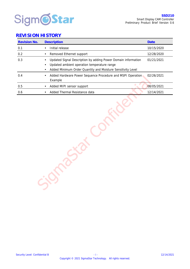

#### **REVISION HISTORY**

| Revision No. | Description                                                                                                                                                                 | Date       |
|--------------|-----------------------------------------------------------------------------------------------------------------------------------------------------------------------------|------------|
| 0.1          | Initial release<br>$\bullet$                                                                                                                                                | 10/15/2020 |
| $0.2\,$      | Removed Ethernet support<br>$\bullet$                                                                                                                                       | 12/28/2020 |
| 0.3          | Updated Signal Description by adding Power Domain information<br>Updated ambient operation temperature range<br>Added Minimum Order Quantity and Moisture Sensitivity Level | 01/21/2021 |
| 0.4          | Added Hardware Power Sequence Procedure and MSPI Operation<br>Example                                                                                                       | 02/26/2021 |
| 0.5          | Added MIPI sensor support<br>$\bullet$                                                                                                                                      | 08/05/2021 |
| 0.6          | Added Thermal Resistance data                                                                                                                                               | 12/14/2021 |
|              |                                                                                                                                                                             |            |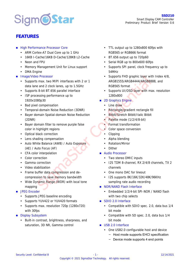# **Sigm@Star**

# **FEATURES**

- **High Performance Processor Core** 
	- ARM Cortex-A7 Dual Core up to 1 GHz
	- 16KB I-Cache/16KB D-Cache/128KB L2-Cache
	- Neon and FPU
	- Memory Management Unit for Linux support
	- DMA Engine
- **Image/Video Processor** 
	- Supports max. two MIPI interfaces with 2 or 1 data lane and 2 clock lanes, up to 1.5GHz
	- Supports 8-bit BT.656 parallel interface
	- ISP processing performance up to 1920x1080p30
	- Bad pixel compensation
	- Temporal-domain Noise Reduction (3DNR)
	- Bayer domain Spatial-domain Noise Reduction (2DNR)
	- Bayer domain filter to remove purple false color in highlight regions
	- Optical black correction
	- Lens shading compensation
	- Auto White Balance (AWB) / Auto Exposure (AE) / Auto Focus (AF)
	- CFA color interpolation
	- Color correction
	- Gamma correction
	- Video stabilization
	- Frame buffer data compression and decompression to save memory bandwidth
	- Wide Dynamic Range (WDR) with local tone mapping
- **JPEG Encoder** 
	- Supports JPEG baseline encoding
	- Supports YUV422 or YUV420 formats
	- Supports max. resolution 720p (1280x720) with 30fps
- **Display Subsystem** 
	- Built-in contrast, brightness, sharpness, and saturation, 3D NR, Gamma control
- TTL output up to 1280x800 60fps with RGB565 or RGB666 format
- BT.656 output up to 720p60
- Serial RGB up to 800x600 60fps
- Supports SPI panel, clock frequency up to 54MHz
- Supports FHD graphic layer with Index 4/8, ARGB1555/ARGB4444/ARGB8888, and RGB565 format Confidence and Sigman Confidential Confidential Confidential Confidential Confidential Confidential Confidential Confidential Confidential Confidential Confidential Confidential Confidential Confidential Confidential Conf
	- Supports UI/OSD layer with max. resolution 1280x800
	- **2D Graphics Engine** 
		- Line draw
		- Rectangle/gradient rectangle fill
		- Bitblt/Stretch Bitblt/Italic Bitblt
		- Palette mode (1/2/4/8-bit)
		- Format transformation
		- Color space conversion
		- Clipping
		- Alpha blending
		- Rotation/Mirror
		- Dither
	- Audio Processor
		- Two stereo DMIC inputs
		- I2S TDM 8-channel, RX 2/4/8 channels, TX 2 channels
		- One mono DAC for lineout
		- I2S supports 8K/16K/32K/48K/96KHz sampling rate audio recording
	- NOR/NAND Flash Interface
		- Fmbedded 1/2/4-bit SPI-NOR / NAND flash with two chip selects
	- SDIO 2.0 Interface
		- Compatible with SDIO spec. 2.0, data bus 1/4 bit mode
		- Compatible with SD spec. 2.0, data bus 1/4 bit mode
	- USB 2.0 Interface
		- One USB2.0 configurable host and device
			- − Host mode supports EHCI specification
			- − Device mode supports 4 end points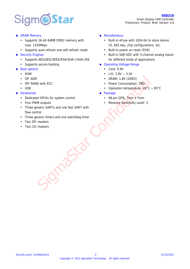# **Sigm@Star**

- **DRAM Memory** 
	- Supports 16-bit 64MB DDR2 memory with max. 1333Mbps
	- Supports auto-refresh and self-refresh mode
- Security Engines
	- Supports AES/DES/3DES/RSA/SHA-I/SHA-256
	- Supports secure booting
- Boot options
	- ROM
	- SPI NOR
	- SPI NAND with FCC
	- $\cdot$  USB
- **Peripherals** 
	- Dedicated GPIOs for system control
	- Four PWM outputs
- Three generic UARTs and one fast UART with flow control ID with ECC<br>
ID with ECC<br>
Discriming the Confident Experiment CONFIDED<br>
Browser Consumption: TBD<br>
Leckage<br>
Browser Consumption: TBD<br>
Moutputs<br>
Moutputs<br>
Moutputs<br>
Moutputs<br>
Moutputs<br>
Moutputs<br>
Moutputs<br>
Moutputs<br>
Moutputs<br>
	- Three generic timers and one watchdog timer
	- Two SPI masters
	- Two I2C masters
- **Miscellaneous** 
	- Built-in eFuse with 1024-bit to store device ID, AES key, chip configurations, etc.
	- Built-in power on reset (POR)
	- Built-in SAR ADC with 3-channel analog inputs for different kinds of applications
- Operating Voltage Range
	- Core: 0.9V
	- $\bullet$  I/O: 1.8V ~ 3.3V
	- DRAM: 1.8V (DDR2)
	- Power Consumption: TBD.
	- Operation temperature -20°C ~ 85°C
- **Package** 
	- 68-pin QFN, 7mm x 7mm
	- Moisture Sensitivity Level: 3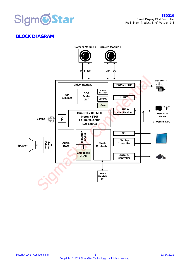

# **BLOCK DIAGRAM**

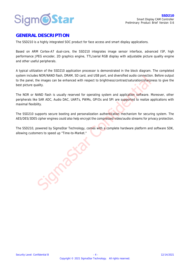

#### **GENERAL DESCRIPTION**

The SSD210 is a highly integrated SOC product for face access and smart display applications.

Based on ARM Cortex-A7 dual-core, the SSD210 integrates image sensor interface, advanced ISP, high performance JPEG encoder, 2D graphics engine, TTL/serial RGB display with adjustable picture quality engine and other useful peripherals.

A typical utilization of the SSD210 application processor is demonstrated in the block diagram. The completed system includes NOR/NAND flash, DRAM, SD card, and USB port, and diversified audio connection. Before output to the panel, the images can be enhanced with respect to brightness/contrast/saturation/sharpness to give the best picture quality.

The NOR or NAND flash is usually reserved for operating system and application software. Moreover, other peripherals like SAR ADC, Audio DAC, UARTs, PWMs, GPIOs and SPI are supported to realize applications with maximal flexibility.

The SSD210 supports secure booting and personalization authentication mechanism for securing system. The AES/DES/3DES cipher engines could also help encrypt the compressed video/audio streams for privacy protection.

The SSD210, powered by SigmaStar Technology, comes with a complete hardware platform and software SDK, allowing customers to speed up "Time-to-Market."

Sigma<br>Sigma<br>Sigma<br>Star Confidential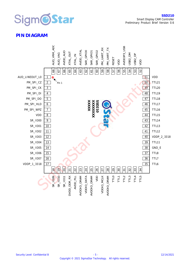

#### **PIN DIAGRAM**

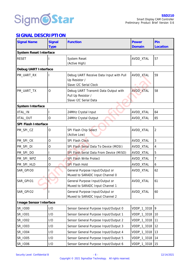

## **SIGNAL DESCRIPTION**

| <b>Signal Name</b>     | Power                                               | Pin                                                                                 |                  |                |  |  |
|------------------------|-----------------------------------------------------|-------------------------------------------------------------------------------------|------------------|----------------|--|--|
|                        | <b>Type</b>                                         |                                                                                     | Domain           | Location       |  |  |
| System Reset Interface |                                                     |                                                                                     |                  |                |  |  |
| <b>RESET</b>           |                                                     | System Reset<br>(Active High)                                                       | AVDD_XTAL        | 57             |  |  |
| Debug UART Interface   |                                                     |                                                                                     |                  |                |  |  |
| PM_UART_RX             |                                                     | Debug UART Receive Data Input with Pull<br>Up Resistor /<br>Slave I2C Serial Clock  | AVDD_XTAL        | 59             |  |  |
| PM_UART_TX             | $\circ$                                             | Debug UART Transmit Data Output with<br>Pull Up Resistor /<br>Slave I2C Serial Data | <b>AVDD_XTAL</b> | 58             |  |  |
| System Interface       |                                                     |                                                                                     |                  |                |  |  |
| XTAL_IN                |                                                     | 24MHz Crystal Input                                                                 | AVDD_XTAL        | 64             |  |  |
| XTAL_OUT               | $\bigcirc$                                          | 24MHz Crystal Output                                                                | AVDD XTAL        | 65             |  |  |
| SPI Flash Interface    |                                                     |                                                                                     |                  |                |  |  |
| PM_SPI_CZ              | SPI Flash Chip Select<br>$\bigcirc$<br>(Active Low) |                                                                                     |                  |                |  |  |
| PM_SPI_CK              | $\bigcirc$                                          | SPI Flash Clock                                                                     | AVDD_XTAL        | 3              |  |  |
| PM_SPI_DI              | O                                                   | SPI Flash Serial Data To Device (MOSI)                                              | AVDD_XTAL        | $\overline{4}$ |  |  |
| PM_SPI_DO              |                                                     | SPI Flash Serial Data From Device (MISO)                                            | AVDD_XTAL        | 5              |  |  |
| PM_SPI_WPZ             | $\bigcirc$                                          | SPI Flash Write Protect                                                             | AVDD_XTAL        | $\overline{7}$ |  |  |
| PM_SPI_HLD             | $\bigcirc$                                          | <b>SPI Flash Hold</b>                                                               | AVDD_XTAL        | 6              |  |  |
| SAR_GPIO0              |                                                     | General Purpose Input/Output or<br>Muxed to SARADC Input Channel 0                  | AVDD_XTAL        | 62             |  |  |
| SAR_GPIO1              |                                                     | General Purpose Input/Output or<br>Muxed to SARADC Input Channel 1                  | AVDD_XTAL        | 61             |  |  |
| SAR_GPIO2              |                                                     | General Purpose Input/Output or<br>Muxed to SARADC Input Channel 2                  | AVDD_XTAL        | 60             |  |  |
| Image Sensor Interface |                                                     |                                                                                     |                  |                |  |  |
| SR_IO00                | 1/O                                                 | Sensor General Purpose Input/Output 0                                               | VDDP_1_3318      | $\circ$        |  |  |
| SR_I001                | 1/O                                                 | Sensor General Purpose Input/Output 1                                               | VDDP_1_3318      | 10             |  |  |
| SR_IO02                | 1/O                                                 | Sensor General Purpose Input/Output 2                                               | VDDP_1_3318      | 11             |  |  |
| SR_IO03                | 1/O                                                 | Sensor General Purpose Input/Output 3                                               | VDDP_1_3318      | 12             |  |  |
| SR_IO04                | 1/O                                                 | Sensor General Purpose Input/Output 4                                               | VDDP_1_3318      | 13             |  |  |
| SR_IO05                | 1/O                                                 | Sensor General Purpose Input/Output 5                                               | VDDP_1_3318      | 14             |  |  |
| SR_IO06                | 1/O                                                 | Sensor General Purpose Input/Output 6                                               | VDDP_1_3318      | 15             |  |  |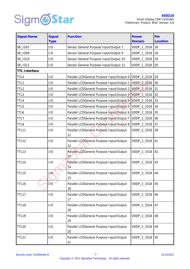

| <b>Signal Name</b>   | Signal      | Function                                       | Power       | Pin      |
|----------------------|-------------|------------------------------------------------|-------------|----------|
|                      | <b>Type</b> |                                                | Domain      | Location |
| SR_IO07              | 1/O         | Sensor General Purpose Input/Output 7          | VDDP_1_3318 | 16       |
| SR 1009              | 1/O         | Sensor General Purpose Input/Output 9          | VDDP_1_3318 | 18       |
| SR_IO10              | 1/O         | Sensor General Purpose Input/Output 10         | VDDP_1_3318 | 19       |
| SR_I011              | 1/O         | Sensor General Purpose Input/Output 11         | VDDP_1_3318 | 20       |
| <b>TTL Interface</b> |             |                                                |             |          |
| <b>TTLO</b>          | 1/O         | Parallel LCDGeneral Purpose Input/Output 0     | VDDP_2_3318 | 29       |
| TTL1                 | 1/O         | Parallel LCDGeneral Purpose Input/Output 1     | VDDP_2_3318 | 30       |
| TTL <sub>2</sub>     | 1/O         | Parallel LCDGeneral Purpose Input/Output 2     | VDDP_2_3318 | 31       |
| TTL3                 | 1/O         | Parallel LCDGeneral Purpose Input/Output 3     | VDDP_2_3318 | 32       |
| TTL4                 | 1/O         | Parallel LCDGeneral Purpose Input/Output 4     | VDDP_2_3318 | 33       |
| TTL5                 | 1/O         | Parallel LCDGeneral Purpose Input/Output 5     | VDDP_2_3318 | 34       |
| TTL6                 | 1/O         | Parallel LCDGeneral Purpose Input/Output 6     | VDDP_2_3318 | 35       |
| TTL7                 | 1/O         | Parallel LCDGeneral Purpose Input/Output 7     | VDDP_2_3318 | 36       |
| TTL8                 | 1/O         | Parallel LCDGeneral Purpose Input/Output 8     | VDDP_2_3318 | 37       |
| TTL11                | 1/O         | Parallel LCDGeneral Purpose Input/Output<br>11 | VDDP_2_3318 | 39       |
| <b>TTL12</b>         | 1/O         | Parallel LCDGeneral Purpose Input/Output<br>12 | VDDP_2_3318 | 41       |
| TTL13                | 1/O         | Parallel LCDGeneral Purpose Input/Output<br>13 | VDDP_2_3318 | 42       |
| TTL14                | 1/O         | Parallel LCDGeneral Purpose Input/Output<br>14 | VDDP_2_3318 | 43       |
| TTL15                | 1/O         | Parallel LCDGeneral Purpose Input/Output<br>15 | VDDP_2_3318 | 44       |
| TTL16                | 1/O         | Parallel LCDGeneral Purpose Input/Output<br>16 | VDDP_2_3318 | 45       |
| TTL17                | 1/O         | Parallel LCDGeneral Purpose Input/Output<br>17 | VDDP_2_3318 | 46       |
| TTL18                | 1/O         | Parallel LCDGeneral Purpose Input/Output<br>18 | VDDP_2_3318 | 47       |
| <b>TTL19</b>         | 1/O         | Parallel LCDGeneral Purpose Input/Output<br>19 | VDDP_2_3318 | 48       |
| <b>TTL20</b>         | 1/O         | Parallel LCDGeneral Purpose Input/Output<br>20 | VDDP_2_3318 | 49       |
| <b>TTL21</b>         | 1/O         | Parallel LCDGeneral Purpose Input/Output<br>21 | VDDP_2_3318 | 50       |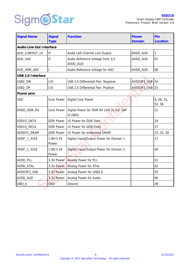

| <b>Signal Name</b>       | Signal<br><b>Type</b> | Function                                           | Power<br>Domain | Pin<br>Location      |  |  |  |  |  |
|--------------------------|-----------------------|----------------------------------------------------|-----------------|----------------------|--|--|--|--|--|
| Audio Line Out Interface |                       |                                                    |                 |                      |  |  |  |  |  |
| AUD_LINEOUT_L0           | Ω                     | Audio Left Channel Line Output                     | AVDD_AUD        | $\mathbf{1}$         |  |  |  |  |  |
| AUD_VAG                  | $\bigcirc$            | Audio Reference Voltage from 1/2<br>AVDD_AUD       | AVDD_AUD<br>67  |                      |  |  |  |  |  |
| AUD_VRM_ADC              |                       | Audio Reference Voltage for ADC                    | AVDD_AUD        | 68                   |  |  |  |  |  |
| USB 2.0 Interface        |                       |                                                    |                 |                      |  |  |  |  |  |
| USB2_DM                  | 1/O                   | USB 2.0 Differential Pair, Negative                | AVDD3P3_USB     | 54                   |  |  |  |  |  |
| USB2_DP                  | 1/O                   | USB 2.0 Differential Pair, Positive                | AVDD3P3_USB 53  |                      |  |  |  |  |  |
| Power pins               |                       |                                                    |                 |                      |  |  |  |  |  |
| VDD                      | Core Power            | Digital Core Power                                 |                 | 8, 26, 51,<br>52, 56 |  |  |  |  |  |
| DVDD_DDR_RX              | Core Power            | Digital Power for DDR RX LDO (0.1uF CAP<br>to GND) |                 | 21                   |  |  |  |  |  |
| VDDIO_DATA               | <b>DDR Power</b>      | IO Power for DDR Data                              |                 | 24                   |  |  |  |  |  |
| VDDIO_MCLK               | <b>DDR Power</b>      | IO Power for DDR Clock                             |                 | 27                   |  |  |  |  |  |
| AVDDIO_DRAM              | <b>DDR Power</b>      | IO Power for embedded DRAM                         |                 | 23, 25, 28           |  |  |  |  |  |
| VDDP_1_3318              | 1.8V/3.3V<br>Power    | Digital Input/Output Power for Domain 1            |                 | 17                   |  |  |  |  |  |
| VDDP_2_3318              | 1.8V/3.3V<br>Power    | Digital Input/Output Power for Domain 2            |                 | 40                   |  |  |  |  |  |
| AVDD_PLL                 | 3.3V Power            | Analog Power for PLL                               |                 | 22                   |  |  |  |  |  |
| AVDD_XTAL                | 3.3V Power            | Analog Power for XTAL                              |                 | 63                   |  |  |  |  |  |
| AVDD3P3_USB              | 3.3V Power            | Analog Power for USB2.0                            |                 | 55                   |  |  |  |  |  |
| AVDD_AUD                 | 3.3V Power            | Analog Power for Audio                             |                 | 66                   |  |  |  |  |  |
| GND_E                    | GND                   | Ground                                             |                 | 38                   |  |  |  |  |  |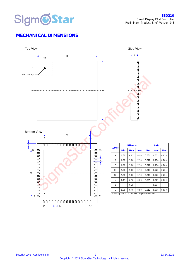

# **MECHANICAL DIMENSIONS**

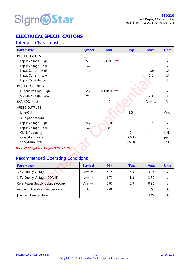

# **ELECTRICAL SPECIFICATIONS**

#### Interface Characteristics

| Parameter                                                                             | Symbol                     | Min.         | Typ.     | Max.      | Unit         |
|---------------------------------------------------------------------------------------|----------------------------|--------------|----------|-----------|--------------|
| <b>DIGITAL INPUTS</b>                                                                 |                            |              |          |           |              |
| Input Voltage, High                                                                   | V <sub>IH</sub>            | VDDP*0.7Note |          |           | $\vee$       |
| Input Voltage, Low                                                                    | $V_{IL}$                   |              |          | 0.8       | $\vee$       |
| Input Current, High                                                                   | $I_{\rm IH}$               |              |          | $-1.0$    | uA           |
| Input Current, Low                                                                    | $\mathsf{I}_{\mathsf{IL}}$ |              |          | 1.0       | uA           |
| Input Capacitance                                                                     |                            |              | 5        |           | pF           |
| <b>DIGITAL OUTPUTS</b>                                                                |                            |              |          |           |              |
| Output Voltage, High                                                                  | V <sub>OH</sub>            | VDDP-0.1Note |          |           | $\vee$       |
| Output Voltage, Low                                                                   | $V_{OL}$                   |              |          | 0.1       | $\vee$       |
| SAR ADC Input                                                                         |                            | $\bigcirc$   |          | $VVDD_33$ | $\vee$       |
| <b>AUDIO OUTPUTS</b>                                                                  |                            |              |          |           |              |
| Line-Out                                                                              |                            |              | 2.54     |           | $Vp-p$       |
| <b>XTAL Specifications</b>                                                            |                            |              |          |           |              |
| Input Voltage, High                                                                   | V <sub>IH</sub>            | 2.0          |          | 3.6       | $\vee$       |
| Input Voltage, Low                                                                    | $V_{IL}$                   | $-0.3$       |          | 0.8       | $\vee$       |
| Clock frequency                                                                       |                            |              | 24       |           | MHz          |
| Crystal accuracy                                                                      |                            |              | $+/-30$  |           | ppm          |
| Long-term jitter                                                                      |                            |              | $+/-500$ |           | ps           |
| Note: VDDP typical voltage is 3.3V or 1.8V<br><b>Recommended Operating Conditions</b> |                            |              |          |           |              |
| Parameter                                                                             | Symbol                     | Min          | Typ.     | Max.      | Unit         |
| 3.3V Supply Voltage                                                                   | $VVDD_33$                  | 3.14         | 3.3      | 3.46      | $\vee$       |
| 1.8V Supply Voltage (DDR II)                                                          | V <sub>VDD_18</sub>        | 1.71         | 1.8      | 1.89      | $\vee$       |
| Core Power Supply Voltage (Core)                                                      | V <sub>VDD_core</sub>      | 0.87         | 0.9      | 0.93      | $\vee$       |
| Ambient Operation Temperature                                                         | TA                         | $-20$        |          | 85        | $^{\circ}$ C |

# Recommended Operating Conditions

| Parameter                        | Symbol                | Min   | Typ. | Max. | Unit         |
|----------------------------------|-----------------------|-------|------|------|--------------|
| 3.3V Supply Voltage              | $VVDD$ 33             | 3.14  | 3.3  | 3.46 |              |
| 1.8V Supply Voltage (DDR II)     | $VVDD_18$             | 1.71  | 1.8  | 1.89 |              |
| Core Power Supply Voltage (Core) | V <sub>VDD_core</sub> | 0.87  | ი 9  | 0.93 |              |
| Ambient Operation Temperature    | Tа                    | $-20$ |      | 85   | $^{\circ}$ C |
| Junction Temperature             |                       |       |      | 125  | $^{\circ}$ C |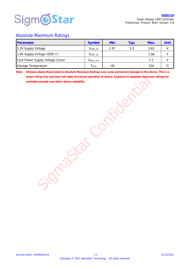

#### Absolute Maximum Ratings

| Parameter                        | Symbol                | Min   | Typ. | Max. | Unit         |
|----------------------------------|-----------------------|-------|------|------|--------------|
| 3.3V Supply Voltage              | $VVDD$ 33             | 297   | 3.3  | 3.63 |              |
| 1.8V Supply Voltage (DDR II)     | $VVDD_18$             |       |      | 1.98 |              |
| Core Power Supply Voltage (Core) | V <sub>VDD</sub> core |       |      | 11   |              |
| Storage Temperature              | <b>STG</b>            | $-40$ |      | 150  | $^{\circ}$ C |

**Note: Stresses above those listed in Absolute Maximum Ratings may cause permanent damage to the device. This is a stress rating only and does not imply functional operation of device. Exposure to absolute maximum ratings for extended periods may affect device reliability.** 

Sigma Star Confidential Confidential Confidential Confidential Confidential Confidential Confidential Confidential Confidential Confidential Confidential Confidential Confidential Confidential Confidential Confidential Con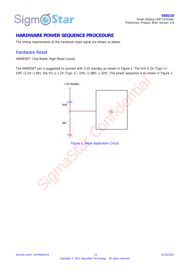

# **HARDWARE POWER SEQUENCE PROCEDURE**

The timing requirements of the hardware reset signal are shown as below:

#### Hardware Reset

HWRESET: Chip Reset; High Reset (Level)

The HWRESET pin is suggested to connect with 3.3V standby as shown in Figure 1. The VIH is 2V (Typ) +/- 10% (2.2V~1.8V); the VIL is 1.2V (Typ) +/- 10% (1.08V~1.32V). The power sequence is as shown in Figure 2.

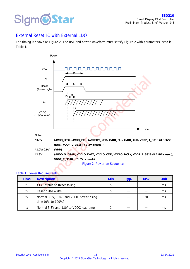

# External Reset IC with External LDO

The timing is shown as Figure 2. The RST and power waveform must satisfy Figure 2 with parameters listed in Table 1.



#### Table 1: Power Requirements

| Time | Description                                                   | Min | Typ. | Max | Unit |
|------|---------------------------------------------------------------|-----|------|-----|------|
| t1   | XTAL stable to Reset falling                                  | h   |      |     | ms   |
| t    | Reset pulse width                                             | h   |      |     | ms   |
| tз   | Normal 3.3V, 1.8V, and VDDC power rising<br>time (0% to 100%) |     |      | 20  | ms   |
|      | Normal 3.3V and 1.8V to VDDC lead time                        |     |      |     | ms   |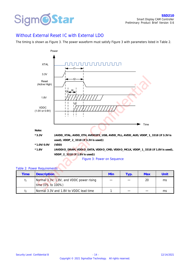

#### Without External Reset IC with External LDO

The timing is shown as Figure 3. The power waveform must satisfy Figure 3 with parameters listed in Table 2.



#### Table 2: Power Requirements

|                             | Figure 3: Power on Sequence                                   |     |      |            |      |  |  |  |  |  |  |  |  |  |
|-----------------------------|---------------------------------------------------------------|-----|------|------------|------|--|--|--|--|--|--|--|--|--|
| Table 2: Power Requirements |                                                               |     |      |            |      |  |  |  |  |  |  |  |  |  |
| Time                        | <b>Description</b>                                            | Min | Typ. | <b>Max</b> | Unit |  |  |  |  |  |  |  |  |  |
| t <sub>1</sub>              | Normal 3.3V, 1.8V, and VDDC power rising<br>time (0% to 100%) |     |      | 20         | ms   |  |  |  |  |  |  |  |  |  |
| t                           | Normal 3.3V and 1.8V to VDDC lead time                        |     |      |            | ms   |  |  |  |  |  |  |  |  |  |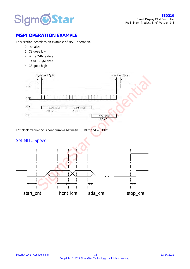

# **MSPI OPERATION EXAMPLE**

This section describes an example of MSPI operation.

- (0) Initialize
- (1) CS goes low
- (2) Write 2-Byte data
- (3) Read 1-Byte data
- (4) CS goes high



I2C clock frequency is configurable between 100KHz and 400KHz.

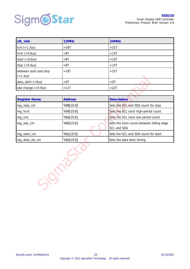

| clk_miic                             | 12MHz      | 24MHz      |
|--------------------------------------|------------|------------|
| lcnt (>1.3us)                        | >16T       | >31T       |
| hcnt $(>0.6us)$                      | >8T        | >15T       |
| start $(>0.6$ us)                    | >8T        | >15T       |
| stop $(>0.6$ us)                     | >8T        | >15T       |
| between start and stop<br>( > 1.3us) | >16T       | >31T       |
| data_latch (>0us)                    | $>0$ T     | $>0$ T     |
| sda change (<0.9us)                  | $<$ 11 $T$ | $<$ 22 $T$ |

| (>1.3US)             |                |                                                          |
|----------------------|----------------|----------------------------------------------------------|
| data_latch (>0us)    | $>0$ T         | $>0$ $\top$                                              |
| sda change (<0.9us)  | < 11T          | < 22T                                                    |
|                      |                |                                                          |
| <b>Register Name</b> | <b>Address</b> | <b>Description</b>                                       |
| reg_stop_cnt         | h08[15:0]      | Sets the SCL and SDA count for stop                      |
| reg_hcnt             | `h09[15:0]     | Sets the SCL clock high-period count                     |
| reg_lcnt             | `h0a[15:0]     | Sets the SCL clock low-period count                      |
| reg_sda_cnt          | h0b[15:0]      | Sets the clock count between falling edge<br>SCL and SDA |
| reg_start_cnt        | `h0c[15:0]     | Sets the SCL and SDA count for start                     |
| reg_data_lat_cnt     | `h0d[15:0]     | Sets the data latch timing                               |
|                      |                |                                                          |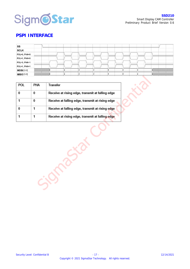

#### **PSPI INTERFACE**

| SS           |                                                                                                                                                                                                                                 |  |  |  |  |  |  |  |  |                                                                                                                       |  |
|--------------|---------------------------------------------------------------------------------------------------------------------------------------------------------------------------------------------------------------------------------|--|--|--|--|--|--|--|--|-----------------------------------------------------------------------------------------------------------------------|--|
| <b>SCLK</b>  |                                                                                                                                                                                                                                 |  |  |  |  |  |  |  |  |                                                                                                                       |  |
| POL=0, PHA=0 |                                                                                                                                                                                                                                 |  |  |  |  |  |  |  |  |                                                                                                                       |  |
| POL=1, PHA=0 |                                                                                                                                                                                                                                 |  |  |  |  |  |  |  |  |                                                                                                                       |  |
| POL=0, PHA=1 |                                                                                                                                                                                                                                 |  |  |  |  |  |  |  |  |                                                                                                                       |  |
| POL=1, PHA=1 |                                                                                                                                                                                                                                 |  |  |  |  |  |  |  |  |                                                                                                                       |  |
| MOSI[3:0]    | a katika kutoka Marejeo kutoka Marejeo kutoka Marejeo kutoka Marejeo kutoka Marejeo kutoka Marejeo kutoka Mare                                                                                                                  |  |  |  |  |  |  |  |  | <u>eliitti kunnattavallisestä erityisestä erityisestä erityisestä erityisestä erityisestä erityisestä erityisestä</u> |  |
| MISO[3:0]    | Allittiliitti kunista kunista kunista kunista kunista kunista kunista kunista kunista kunista kunista kunista<br>Kansan kunista kunista kunista kunista kunista kunista kunista kunista kunista kunista kunista kunista kunista |  |  |  |  |  |  |  |  |                                                                                                                       |  |

| <b>POL</b> | PHA | Transfer                                         |  |  |  |  |
|------------|-----|--------------------------------------------------|--|--|--|--|
|            | 0   | Receive at rising edge, transmit at falling edge |  |  |  |  |
|            | 0   | Receive at falling edge, transmit at rising edge |  |  |  |  |
|            |     | Receive at falling edge, transmit at rising edge |  |  |  |  |
|            |     | Receive at rising edge, transmit at falling edge |  |  |  |  |

Sigmastar C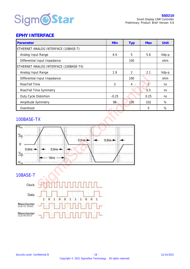

# **EPHY INTERFACE**

| Parameter                              | Min     | <b>Typ</b>    | <b>Max</b>     | Unit  |
|----------------------------------------|---------|---------------|----------------|-------|
| ETHERNET ANALOG INTERFACE (10BASE-T)   |         |               |                |       |
| Analog Input Range                     |         | 5             | 5.6            | Vdp-p |
| Differential Input Impedance           |         | 100           |                | ohm   |
| ETHERNET ANALOG INTERFACE (100BASE-TX) |         |               |                |       |
| Analog Input Range                     | 1.9     | $\mathcal{P}$ | 2.1            | Vdp-p |
| Differential Input Impedance           |         | 100           |                | ohm   |
| Rise/Fall Time                         | 3       | $4 \bullet$   | $\overline{5}$ | ns    |
| Rise/Fall Time Symmetry                |         |               | 0.5            | ns    |
| Duty Cycle Distortion                  | $-0.25$ |               | 0.25           | ns    |
| Amplitude Symmetry                     | 98      | 100           | 102            | $\%$  |
| Overshoot                              |         |               | 5              | %     |

#### 100BASE-TX



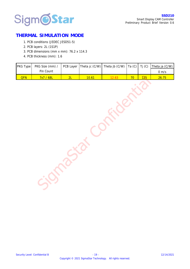

# **THERMAL SIMULATION MODE**

- 1. PCB conditions (JEDEC JESD51-5)
- 2. PCB layers: 2L (1S1P)
- 3. PCB dimensions (mm x mm): 76.2 x 114.3
- 4. PCB thickness (mm): 1.6

| PKG Type | PKG Size (mm) / | PCB Layer | Theta jc (C/W) | Theta jb (C/W) | Ta $(C)$ | Tj (C) | Theta ja (C/W)  |
|----------|-----------------|-----------|----------------|----------------|----------|--------|-----------------|
|          | Pin Count       |           |                |                |          |        | $0 \text{ m/s}$ |
| I<br>QFN | 7x7 / 68L       | 2L        | 10.61          | 12.63          | 70       | 125    | 26.75           |
|          |                 |           |                |                |          |        |                 |